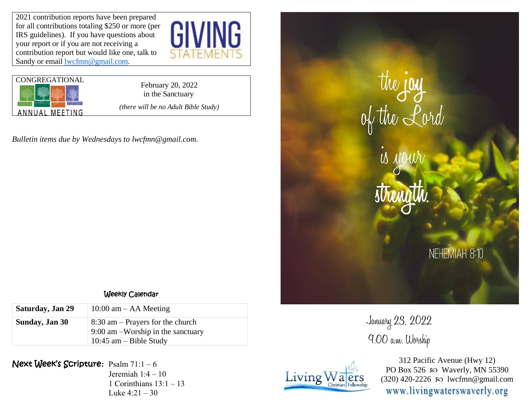2021 contribution reports have been prepared for all contributions totaling \$250 or more (per IRS guidelines). If you have questions about your report or if you are not receiving a contribution report but would like one, talk to Sandy or email **lwcfmn@gmail.com**.





in the Sanctuary *(there will be no Adult Bible Study)*

*Bulletin items due by Wednesdays to lwcfmn@gmail.com.*



January 23, 2022

9:00 a.m. Worship



312 Pacific Avenue (Hwy 12) PO Box 526  $\wp$  Waverly, MN 55390  $(320)$  420-2226 so lwcfmn@gmail.com www.livingwaterswaverly.org

## Weekly Calendar

| Saturday, Jan 29 | 10:00 am $-$ AA Meeting                                                                               |
|------------------|-------------------------------------------------------------------------------------------------------|
| Sunday, Jan 30   | $8:30$ am – Prayers for the church<br>$9:00$ am -Worship in the sanctuary<br>10:45 am $-$ Bible Study |

Next Week's Scripture**:** Psalm 71:1 – 6 Jeremiah 1:4 – 10 1 Corinthians  $13:1 - 13$ Luke  $4:21 - 30$